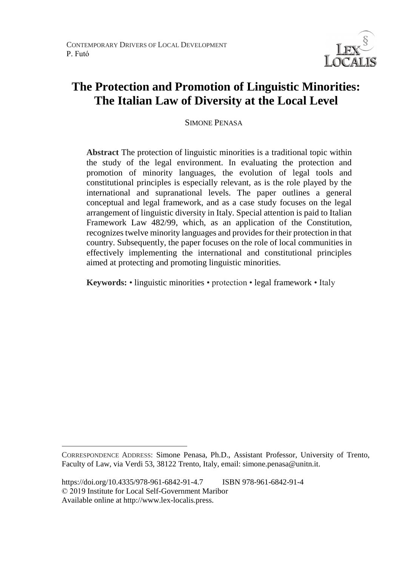

# **The Protection and Promotion of Linguistic Minorities: The Italian Law of Diversity at the Local Level**

SIMONE PENASA

**Abstract** The protection of linguistic minorities is a traditional topic within the study of the legal environment. In evaluating the protection and promotion of minority languages, the evolution of legal tools and constitutional principles is especially relevant, as is the role played by the international and supranational levels. The paper outlines a general conceptual and legal framework, and as a case study focuses on the legal arrangement of linguistic diversity in Italy. Special attention is paid to Italian Framework Law 482/99, which, as an application of the Constitution, recognizes twelve minority languages and provides for their protection in that country. Subsequently, the paper focuses on the role of local communities in effectively implementing the international and constitutional principles aimed at protecting and promoting linguistic minorities.

**Keywords:** • linguistic minorities • protection • legal framework • Italy

 $\overline{a}$ 

CORRESPONDENCE ADDRESS: Simone Penasa, Ph.D., Assistant Professor, University of Trento, Faculty of Law, via Verdi 53, 38122 Trento, Italy, email: simone.penasa@unitn.it.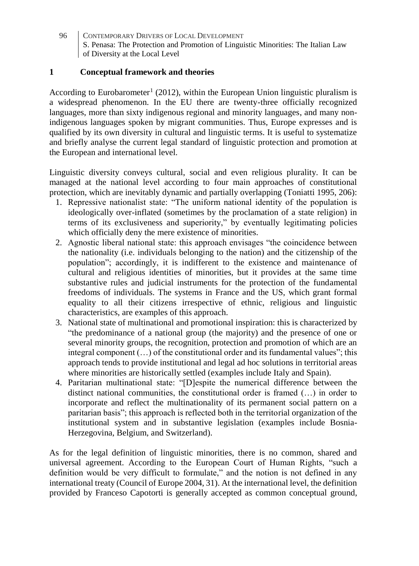### **1 Conceptual framework and theories**

According to Eurobarometer<sup>1</sup> (2012), within the European Union linguistic pluralism is a widespread phenomenon. In the EU there are twenty-three officially recognized languages, more than sixty indigenous regional and minority languages, and many nonindigenous languages spoken by migrant communities. Thus, Europe expresses and is qualified by its own diversity in cultural and linguistic terms. It is useful to systematize and briefly analyse the current legal standard of linguistic protection and promotion at the European and international level.

Linguistic diversity conveys cultural, social and even religious plurality. It can be managed at the national level according to four main approaches of constitutional protection, which are inevitably dynamic and partially overlapping (Toniatti 1995, 206):

- 1. Repressive nationalist state: "The uniform national identity of the population is ideologically over-inflated (sometimes by the proclamation of a state religion) in terms of its exclusiveness and superiority," by eventually legitimating policies which officially deny the mere existence of minorities.
- 2. Agnostic liberal national state: this approach envisages "the coincidence between the nationality (i.e. individuals belonging to the nation) and the citizenship of the population"; accordingly, it is indifferent to the existence and maintenance of cultural and religious identities of minorities, but it provides at the same time substantive rules and judicial instruments for the protection of the fundamental freedoms of individuals. The systems in France and the US, which grant formal equality to all their citizens irrespective of ethnic, religious and linguistic characteristics, are examples of this approach.
- 3. National state of multinational and promotional inspiration: this is characterized by "the predominance of a national group (the majority) and the presence of one or several minority groups, the recognition, protection and promotion of which are an integral component (…) of the constitutional order and its fundamental values"; this approach tends to provide institutional and legal ad hoc solutions in territorial areas where minorities are historically settled (examples include Italy and Spain).
- 4. Paritarian multinational state: "[D]espite the numerical difference between the distinct national communities, the constitutional order is framed  $(\ldots)$  in order to incorporate and reflect the multinationality of its permanent social pattern on a paritarian basis"; this approach is reflected both in the territorial organization of the institutional system and in substantive legislation (examples include Bosnia-Herzegovina, Belgium, and Switzerland).

As for the legal definition of linguistic minorities, there is no common, shared and universal agreement. According to the European Court of Human Rights, "such a definition would be very difficult to formulate," and the notion is not defined in any international treaty (Council of Europe 2004, 31). At the international level, the definition provided by Franceso Capotorti is generally accepted as common conceptual ground,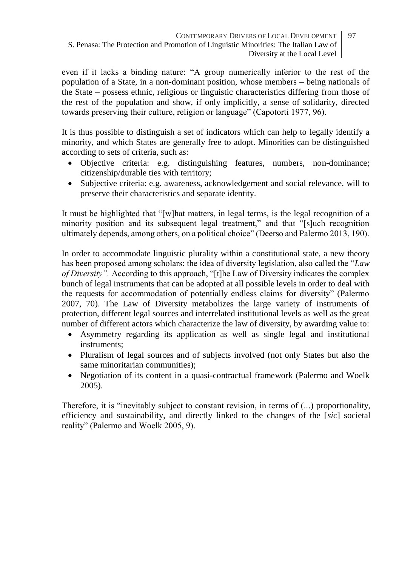even if it lacks a binding nature: "A group numerically inferior to the rest of the population of a State, in a non-dominant position, whose members – being nationals of the State – possess ethnic, religious or linguistic characteristics differing from those of the rest of the population and show, if only implicitly, a sense of solidarity, directed towards preserving their culture, religion or language" (Capotorti 1977, 96).

It is thus possible to distinguish a set of indicators which can help to legally identify a minority, and which States are generally free to adopt. Minorities can be distinguished according to sets of criteria, such as:

- Objective criteria: e.g. distinguishing features, numbers, non-dominance; citizenship/durable ties with territory;
- Subjective criteria: e.g. awareness, acknowledgement and social relevance, will to preserve their characteristics and separate identity.

It must be highlighted that "[w]hat matters, in legal terms, is the legal recognition of a minority position and its subsequent legal treatment," and that "[s]uch recognition ultimately depends, among others, on a political choice" (Deerso and Palermo 2013, 190).

In order to accommodate linguistic plurality within a constitutional state, a new theory has been proposed among scholars: the idea of diversity legislation, also called the "*Law of Diversity".* According to this approach, "[t]he Law of Diversity indicates the complex bunch of legal instruments that can be adopted at all possible levels in order to deal with the requests for accommodation of potentially endless claims for diversity" (Palermo 2007, 70). The Law of Diversity metabolizes the large variety of instruments of protection, different legal sources and interrelated institutional levels as well as the great number of different actors which characterize the law of diversity, by awarding value to:

- Asymmetry regarding its application as well as single legal and institutional instruments;
- Pluralism of legal sources and of subjects involved (not only States but also the same minoritarian communities);
- Negotiation of its content in a quasi-contractual framework (Palermo and Woelk 2005).

Therefore, it is "inevitably subject to constant revision, in terms of (...) proportionality, efficiency and sustainability, and directly linked to the changes of the [*sic*] societal reality" (Palermo and Woelk 2005, 9).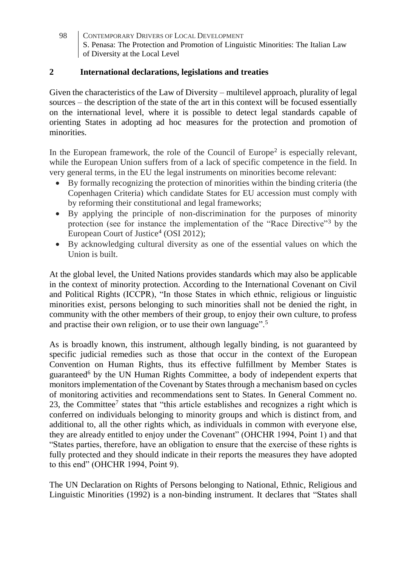## **2 International declarations, legislations and treaties**

Given the characteristics of the Law of Diversity – multilevel approach, plurality of legal sources – the description of the state of the art in this context will be focused essentially on the international level, where it is possible to detect legal standards capable of orienting States in adopting ad hoc measures for the protection and promotion of minorities.

In the European framework, the role of the Council of Europe<sup>2</sup> is especially relevant, while the European Union suffers from of a lack of specific competence in the field. In very general terms, in the EU the legal instruments on minorities become relevant:

- By formally recognizing the protection of minorities within the binding criteria (the Copenhagen Criteria) which candidate States for EU accession must comply with by reforming their constitutional and legal frameworks;
- By applying the principle of non-discrimination for the purposes of minority protection (see for instance the implementation of the "Race Directive"<sup>3</sup> by the European Court of Justice<sup>4</sup> (OSI 2012);
- By acknowledging cultural diversity as one of the essential values on which the Union is built.

At the global level, the United Nations provides standards which may also be applicable in the context of minority protection. According to the International Covenant on Civil and Political Rights (ICCPR), "In those States in which ethnic, religious or linguistic minorities exist, persons belonging to such minorities shall not be denied the right, in community with the other members of their group, to enjoy their own culture, to profess and practise their own religion, or to use their own language".<sup>5</sup>

As is broadly known, this instrument, although legally binding, is not guaranteed by specific judicial remedies such as those that occur in the context of the European Convention on Human Rights, thus its effective fulfillment by Member States is guaranteed<sup>6</sup> by the UN Human Rights Committee, a body of independent experts that monitors implementation of the Covenant by States through a mechanism based on cycles of monitoring activities and recommendations sent to States. In General Comment no. 23, the Committee<sup>7</sup> states that "this article establishes and recognizes a right which is conferred on individuals belonging to minority groups and which is distinct from, and additional to, all the other rights which, as individuals in common with everyone else, they are already entitled to enjoy under the Covenant" (OHCHR 1994, Point 1) and that "States parties, therefore, have an obligation to ensure that the exercise of these rights is fully protected and they should indicate in their reports the measures they have adopted to this end" (OHCHR 1994, Point 9).

The UN Declaration on Rights of Persons belonging to National, Ethnic, Religious and Linguistic Minorities (1992) is a non-binding instrument. It declares that "States shall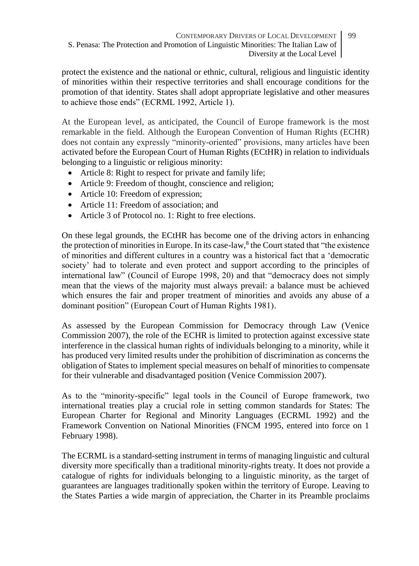protect the existence and the national or ethnic, cultural, religious and linguistic identity of minorities within their respective territories and shall encourage conditions for the promotion of that identity. States shall adopt appropriate legislative and other measures to achieve those ends" (ECRML 1992, Article 1).

At the European level, as anticipated, the Council of Europe framework is the most remarkable in the field. Although the European Convention of Human Rights (ECHR) does not contain any expressly "minority-oriented" provisions, many articles have been activated before the European Court of Human Rights (ECtHR) in relation to individuals belonging to a linguistic or religious minority:

- Article 8: Right to respect for private and family life;
- Article 9: Freedom of thought, conscience and religion;
- Article 10: Freedom of expression;
- Article 11: Freedom of association; and
- Article 3 of Protocol no. 1: Right to free elections.

On these legal grounds, the ECtHR has become one of the driving actors in enhancing the protection of minorities in Europe. In its case-law,<sup>8</sup> the Court stated that "the existence of minorities and different cultures in a country was a historical fact that a 'democratic society' had to tolerate and even protect and support according to the principles of international law" (Council of Europe 1998, 20) and that "democracy does not simply mean that the views of the majority must always prevail: a balance must be achieved which ensures the fair and proper treatment of minorities and avoids any abuse of a dominant position" (European Court of Human Rights 1981).

As assessed by the European Commission for Democracy through Law (Venice Commission 2007), the role of the ECHR is limited to protection against excessive state interference in the classical human rights of individuals belonging to a minority, while it has produced very limited results under the prohibition of discrimination as concerns the obligation of States to implement special measures on behalf of minorities to compensate for their vulnerable and disadvantaged position (Venice Commission 2007).

As to the "minority-specific" legal tools in the Council of Europe framework, two international treaties play a crucial role in setting common standards for States: The European Charter for Regional and Minority Languages (ECRML 1992) and the Framework Convention on National Minorities (FNCM 1995, entered into force on 1 February 1998).

The ECRML is a standard-setting instrument in terms of managing linguistic and cultural diversity more specifically than a traditional minority-rights treaty. It does not provide a catalogue of rights for individuals belonging to a linguistic minority, as the target of guarantees are languages traditionally spoken within the territory of Europe. Leaving to the States Parties a wide margin of appreciation, the Charter in its Preamble proclaims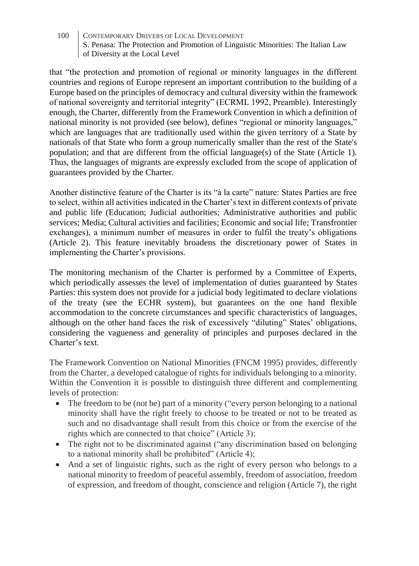that "the protection and promotion of regional or minority languages in the different countries and regions of Europe represent an important contribution to the building of a Europe based on the principles of democracy and cultural diversity within the framework of national sovereignty and territorial integrity" (ECRML 1992, Preamble). Interestingly enough, the Charter, differently from the Framework Convention in which a definition of national minority is not provided (see below), defines "regional or minority languages," which are languages that are traditionally used within the given territory of a State by nationals of that State who form a group numerically smaller than the rest of the State's population; and that are different from the official language(s) of the State (Article 1). Thus, the languages of migrants are expressly excluded from the scope of application of guarantees provided by the Charter.

Another distinctive feature of the Charter is its "à la carte" nature: States Parties are free to select, within all activities indicated in the Charter's text in different contexts of private and public life (Education; Judicial authorities; Administrative authorities and public services; Media; Cultural activities and facilities; Economic and social life; Transfrontier exchanges), a minimum number of measures in order to fulfil the treaty's obligations (Article 2). This feature inevitably broadens the discretionary power of States in implementing the Charter's provisions.

The monitoring mechanism of the Charter is performed by a Committee of Experts, which periodically assesses the level of implementation of duties guaranteed by States Parties: this system does not provide for a judicial body legitimated to declare violations of the treaty (see the ECHR system), but guarantees on the one hand flexible accommodation to the concrete circumstances and specific characteristics of languages, although on the other hand faces the risk of excessively "diluting" States' obligations, considering the vagueness and generality of principles and purposes declared in the Charter's text.

The Framework Convention on National Minorities (FNCM 1995) provides, differently from the Charter, a developed catalogue of rights for individuals belonging to a minority. Within the Convention it is possible to distinguish three different and complementing levels of protection:

- The freedom to be (not be) part of a minority ("every person belonging to a national minority shall have the right freely to choose to be treated or not to be treated as such and no disadvantage shall result from this choice or from the exercise of the rights which are connected to that choice" (Article 3);
- The right not to be discriminated against ("any discrimination based on belonging to a national minority shall be prohibited" (Article 4);
- And a set of linguistic rights, such as the right of every person who belongs to a national minority to freedom of peaceful assembly, freedom of association, freedom of expression, and freedom of thought, conscience and religion (Article 7), the right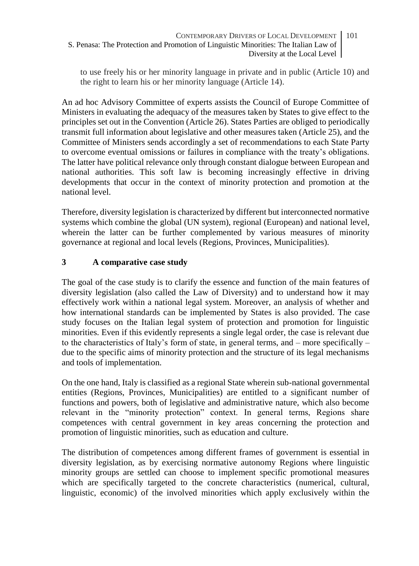to use freely his or her minority language in private and in public (Article 10) and the right to learn his or her minority language (Article 14).

An ad hoc Advisory Committee of experts assists the Council of Europe Committee of Ministers in evaluating the adequacy of the measures taken by States to give effect to the principles set out in the Convention (Article 26). States Parties are obliged to periodically transmit full information about legislative and other measures taken (Article 25), and the Committee of Ministers sends accordingly a set of recommendations to each State Party to overcome eventual omissions or failures in compliance with the treaty's obligations. The latter have political relevance only through constant dialogue between European and national authorities. This soft law is becoming increasingly effective in driving developments that occur in the context of minority protection and promotion at the national level.

Therefore, diversity legislation is characterized by different but interconnected normative systems which combine the global (UN system), regional (European) and national level, wherein the latter can be further complemented by various measures of minority governance at regional and local levels (Regions, Provinces, Municipalities).

# **3 A comparative case study**

The goal of the case study is to clarify the essence and function of the main features of diversity legislation (also called the Law of Diversity) and to understand how it may effectively work within a national legal system. Moreover, an analysis of whether and how international standards can be implemented by States is also provided. The case study focuses on the Italian legal system of protection and promotion for linguistic minorities. Even if this evidently represents a single legal order, the case is relevant due to the characteristics of Italy's form of state, in general terms, and  $-$  more specifically  $$ due to the specific aims of minority protection and the structure of its legal mechanisms and tools of implementation.

On the one hand, Italy is classified as a regional State wherein sub-national governmental entities (Regions, Provinces, Municipalities) are entitled to a significant number of functions and powers, both of legislative and administrative nature, which also become relevant in the "minority protection" context. In general terms, Regions share competences with central government in key areas concerning the protection and promotion of linguistic minorities, such as education and culture.

The distribution of competences among different frames of government is essential in diversity legislation, as by exercising normative autonomy Regions where linguistic minority groups are settled can choose to implement specific promotional measures which are specifically targeted to the concrete characteristics (numerical, cultural, linguistic, economic) of the involved minorities which apply exclusively within the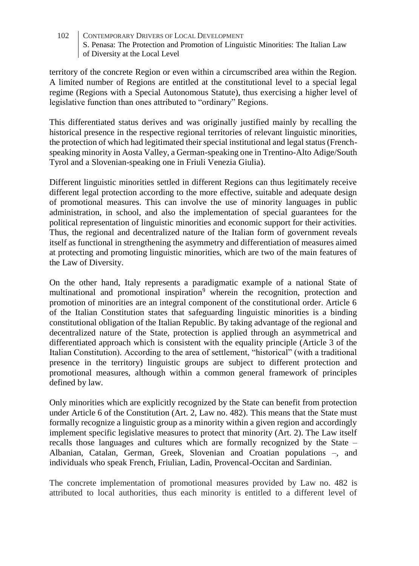territory of the concrete Region or even within a circumscribed area within the Region. A limited number of Regions are entitled at the constitutional level to a special legal regime (Regions with a Special Autonomous Statute), thus exercising a higher level of legislative function than ones attributed to "ordinary" Regions.

This differentiated status derives and was originally justified mainly by recalling the historical presence in the respective regional territories of relevant linguistic minorities, the protection of which had legitimated their special institutional and legal status (Frenchspeaking minority in Aosta Valley, a German-speaking one in Trentino-Alto Adige/South Tyrol and a Slovenian-speaking one in Friuli Venezia Giulia).

Different linguistic minorities settled in different Regions can thus legitimately receive different legal protection according to the more effective, suitable and adequate design of promotional measures. This can involve the use of minority languages in public administration, in school, and also the implementation of special guarantees for the political representation of linguistic minorities and economic support for their activities. Thus, the regional and decentralized nature of the Italian form of government reveals itself as functional in strengthening the asymmetry and differentiation of measures aimed at protecting and promoting linguistic minorities, which are two of the main features of the Law of Diversity.

On the other hand, Italy represents a paradigmatic example of a national State of multinational and promotional inspiration<sup>9</sup> wherein the recognition, protection and promotion of minorities are an integral component of the constitutional order. Article 6 of the Italian Constitution states that safeguarding linguistic minorities is a binding constitutional obligation of the Italian Republic. By taking advantage of the regional and decentralized nature of the State, protection is applied through an asymmetrical and differentiated approach which is consistent with the equality principle (Article 3 of the Italian Constitution). According to the area of settlement, "historical" (with a traditional presence in the territory) linguistic groups are subject to different protection and promotional measures, although within a common general framework of principles defined by law.

Only minorities which are explicitly recognized by the State can benefit from protection under Article 6 of the Constitution (Art. 2, Law no. 482). This means that the State must formally recognize a linguistic group as a minority within a given region and accordingly implement specific legislative measures to protect that minority (Art. 2). The Law itself recalls those languages and cultures which are formally recognized by the State – Albanian, Catalan, German, Greek, Slovenian and Croatian populations –, and individuals who speak French, Friulian, Ladin, Provencal-Occitan and Sardinian.

The concrete implementation of promotional measures provided by Law no. 482 is attributed to local authorities, thus each minority is entitled to a different level of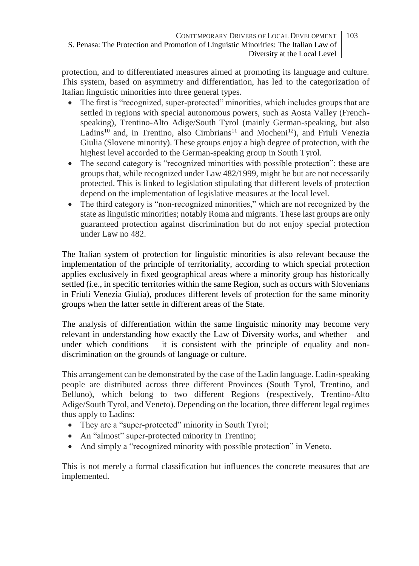protection, and to differentiated measures aimed at promoting its language and culture. This system, based on asymmetry and differentiation, has led to the categorization of Italian linguistic minorities into three general types.

- The first is "recognized, super-protected" minorities, which includes groups that are settled in regions with special autonomous powers, such as Aosta Valley (Frenchspeaking), Trentino-Alto Adige/South Tyrol (mainly German-speaking, but also Ladins<sup>10</sup> and, in Trentino, also Cimbrians<sup>11</sup> and Mocheni<sup>12</sup>), and Friuli Venezia Giulia (Slovene minority). These groups enjoy a high degree of protection, with the highest level accorded to the German-speaking group in South Tyrol.
- The second category is "recognized minorities with possible protection": these are groups that, while recognized under Law 482/1999, might be but are not necessarily protected. This is linked to legislation stipulating that different levels of protection depend on the implementation of legislative measures at the local level.
- The third category is "non-recognized minorities," which are not recognized by the state as linguistic minorities; notably Roma and migrants. These last groups are only guaranteed protection against discrimination but do not enjoy special protection under Law no 482.

The Italian system of protection for linguistic minorities is also relevant because the implementation of the principle of territoriality, according to which special protection applies exclusively in fixed geographical areas where a minority group has historically settled (i.e., in specific territories within the same Region, such as occurs with Slovenians in Friuli Venezia Giulia), produces different levels of protection for the same minority groups when the latter settle in different areas of the State.

The analysis of differentiation within the same linguistic minority may become very relevant in understanding how exactly the Law of Diversity works, and whether – and under which conditions  $-$  it is consistent with the principle of equality and nondiscrimination on the grounds of language or culture.

This arrangement can be demonstrated by the case of the Ladin language. Ladin-speaking people are distributed across three different Provinces (South Tyrol, Trentino, and Belluno), which belong to two different Regions (respectively, Trentino-Alto Adige/South Tyrol, and Veneto). Depending on the location, three different legal regimes thus apply to Ladins:

- They are a "super-protected" minority in South Tyrol:
- An "almost" super-protected minority in Trentino;
- And simply a "recognized minority with possible protection" in Veneto.

This is not merely a formal classification but influences the concrete measures that are implemented.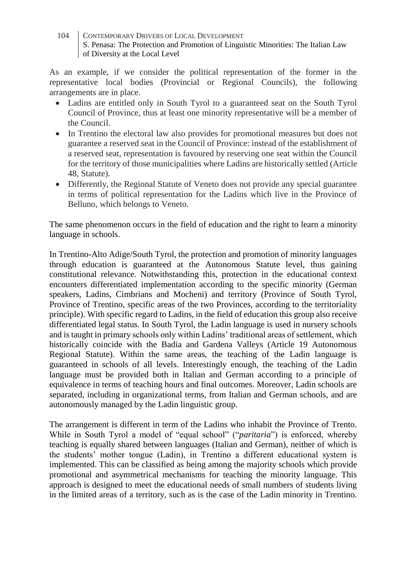As an example, if we consider the political representation of the former in the representative local bodies (Provincial or Regional Councils), the following arrangements are in place.

- Ladins are entitled only in South Tyrol to a guaranteed seat on the South Tyrol Council of Province, thus at least one minority representative will be a member of the Council.
- In Trentino the electoral law also provides for promotional measures but does not guarantee a reserved seat in the Council of Province: instead of the establishment of a reserved seat, representation is favoured by reserving one seat within the Council for the territory of those municipalities where Ladins are historically settled (Article 48, Statute).
- Differently, the Regional Statute of Veneto does not provide any special guarantee in terms of political representation for the Ladins which live in the Province of Belluno, which belongs to Veneto.

The same phenomenon occurs in the field of education and the right to learn a minority language in schools.

In Trentino-Alto Adige/South Tyrol, the protection and promotion of minority languages through education is guaranteed at the Autonomous Statute level, thus gaining constitutional relevance. Notwithstanding this, protection in the educational context encounters differentiated implementation according to the specific minority (German speakers, Ladins, Cimbrians and Mocheni) and territory (Province of South Tyrol, Province of Trentino, specific areas of the two Provinces, according to the territoriality principle). With specific regard to Ladins, in the field of education this group also receive differentiated legal status. In South Tyrol, the Ladin language is used in nursery schools and is taught in primary schools only within Ladins' traditional areas of settlement, which historically coincide with the Badia and Gardena Valleys (Article 19 Autonomous Regional Statute). Within the same areas, the teaching of the Ladin language is guaranteed in schools of all levels. Interestingly enough, the teaching of the Ladin language must be provided both in Italian and German according to a principle of equivalence in terms of teaching hours and final outcomes. Moreover, Ladin schools are separated, including in organizational terms, from Italian and German schools, and are autonomously managed by the Ladin linguistic group.

The arrangement is different in term of the Ladins who inhabit the Province of Trento. While in South Tyrol a model of "equal school" ("*paritaria*") is enforced, whereby teaching is equally shared between languages (Italian and German), neither of which is the students' mother tongue (Ladin), in Trentino a different educational system is implemented. This can be classified as being among the majority schools which provide promotional and asymmetrical mechanisms for teaching the minority language. This approach is designed to meet the educational needs of small numbers of students living in the limited areas of a territory, such as is the case of the Ladin minority in Trentino.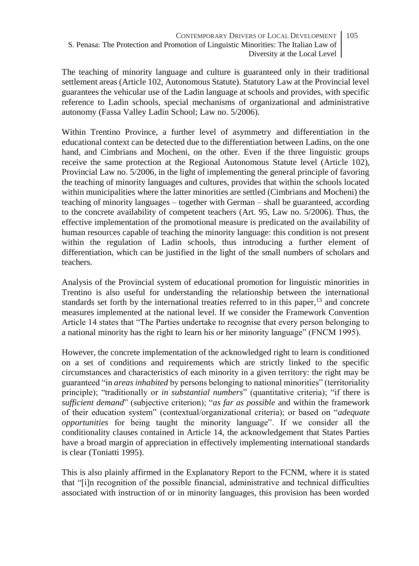The teaching of minority language and culture is guaranteed only in their traditional settlement areas (Article 102, Autonomous Statute). Statutory Law at the Provincial level guarantees the vehicular use of the Ladin language at schools and provides, with specific reference to Ladin schools, special mechanisms of organizational and administrative autonomy (Fassa Valley Ladin School; Law no. 5/2006).

Within Trentino Province, a further level of asymmetry and differentiation in the educational context can be detected due to the differentiation between Ladins, on the one hand, and Cimbrians and Mocheni, on the other. Even if the three linguistic groups receive the same protection at the Regional Autonomous Statute level (Article 102), Provincial Law no. 5/2006, in the light of implementing the general principle of favoring the teaching of minority languages and cultures, provides that within the schools located within municipalities where the latter minorities are settled (Cimbrians and Mocheni) the teaching of minority languages – together with German – shall be guaranteed, according to the concrete availability of competent teachers (Art. 95, Law no. 5/2006). Thus, the effective implementation of the promotional measure is predicated on the availability of human resources capable of teaching the minority language: this condition is not present within the regulation of Ladin schools, thus introducing a further element of differentiation, which can be justified in the light of the small numbers of scholars and teachers.

Analysis of the Provincial system of educational promotion for linguistic minorities in Trentino is also useful for understanding the relationship between the international standards set forth by the international treaties referred to in this paper.<sup>13</sup> and concrete measures implemented at the national level. If we consider the Framework Convention Article 14 states that "The Parties undertake to recognise that every person belonging to a national minority has the right to learn his or her minority language" (FNCM 1995).

However, the concrete implementation of the acknowledged right to learn is conditioned on a set of conditions and requirements which are strictly linked to the specific circumstances and characteristics of each minority in a given territory: the right may be guaranteed "in *areas inhabited* by persons belonging to national minorities" (territoriality principle); "traditionally or *in substantial numbers*" (quantitative criteria); "if there is *sufficient demand*" (subjective criterion); "*as far as possible* and within the framework of their education system" (contextual/organizational criteria); or based on "*adequate opportunities* for being taught the minority language". If we consider all the conditionality clauses contained in Article 14, the acknowledgement that States Parties have a broad margin of appreciation in effectively implementing international standards is clear (Toniatti 1995).

This is also plainly affirmed in the Explanatory Report to the FCNM, where it is stated that "[i]n recognition of the possible financial, administrative and technical difficulties associated with instruction of or in minority languages, this provision has been worded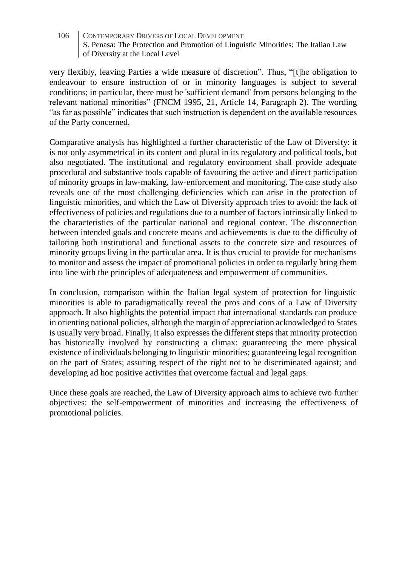very flexibly, leaving Parties a wide measure of discretion". Thus, "[t]he obligation to endeavour to ensure instruction of or in minority languages is subject to several conditions; in particular, there must be 'sufficient demand' from persons belonging to the relevant national minorities" (FNCM 1995, 21, Article 14, Paragraph 2). The wording "as far as possible" indicates that such instruction is dependent on the available resources of the Party concerned.

Comparative analysis has highlighted a further characteristic of the Law of Diversity: it is not only asymmetrical in its content and plural in its regulatory and political tools, but also negotiated. The institutional and regulatory environment shall provide adequate procedural and substantive tools capable of favouring the active and direct participation of minority groups in law-making, law-enforcement and monitoring. The case study also reveals one of the most challenging deficiencies which can arise in the protection of linguistic minorities, and which the Law of Diversity approach tries to avoid: the lack of effectiveness of policies and regulations due to a number of factors intrinsically linked to the characteristics of the particular national and regional context. The disconnection between intended goals and concrete means and achievements is due to the difficulty of tailoring both institutional and functional assets to the concrete size and resources of minority groups living in the particular area. It is thus crucial to provide for mechanisms to monitor and assess the impact of promotional policies in order to regularly bring them into line with the principles of adequateness and empowerment of communities.

In conclusion, comparison within the Italian legal system of protection for linguistic minorities is able to paradigmatically reveal the pros and cons of a Law of Diversity approach. It also highlights the potential impact that international standards can produce in orienting national policies, although the margin of appreciation acknowledged to States is usually very broad. Finally, it also expresses the different steps that minority protection has historically involved by constructing a climax: guaranteeing the mere physical existence of individuals belonging to linguistic minorities; guaranteeing legal recognition on the part of States; assuring respect of the right not to be discriminated against; and developing ad hoc positive activities that overcome factual and legal gaps.

Once these goals are reached, the Law of Diversity approach aims to achieve two further objectives: the self-empowerment of minorities and increasing the effectiveness of promotional policies.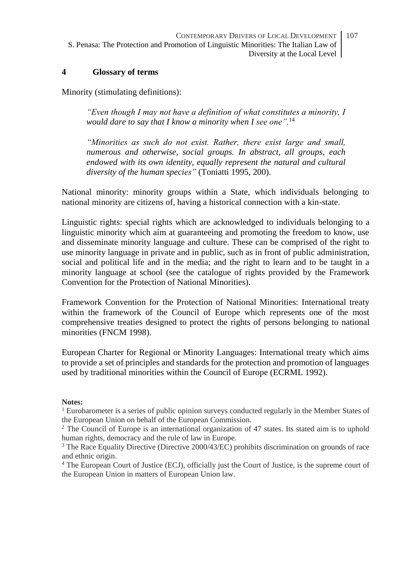### **4 Glossary of terms**

Minority (stimulating definitions):

*"Even though I may not have a definition of what constitutes a minority, I would dare to say that I know a minority when I see one".*<sup>14</sup>

*"Minorities as such do not exist. Rather, there exist large and small, numerous and otherwise, social groups. In abstract, all groups, each endowed with its own identity, equally represent the natural and cultural diversity of the human species"* (Toniatti 1995, 200).

National minority: minority groups within a State, which individuals belonging to national minority are citizens of, having a historical connection with a kin-state.

Linguistic rights: special rights which are acknowledged to individuals belonging to a linguistic minority which aim at guaranteeing and promoting the freedom to know, use and disseminate minority language and culture. These can be comprised of the right to use minority language in private and in public, such as in front of public administration, social and political life and in the media; and the right to learn and to be taught in a minority language at school (see the catalogue of rights provided by the Framework Convention for the Protection of National Minorities).

Framework Convention for the Protection of National Minorities: International treaty within the framework of the Council of Europe which represents one of the most comprehensive treaties designed to protect the rights of persons belonging to national minorities (FNCM 1998).

European Charter for Regional or Minority Languages: International treaty which aims to provide a set of principles and standards for the protection and promotion of languages used by traditional minorities within the Council of Europe (ECRML 1992).

### **Notes:**

 $<sup>1</sup>$  Eurobarometer is a series of public opinion surveys conducted regularly in the Member States of</sup> the European Union on behalf of the European Commission.

<sup>2</sup> The Council of Europe is an international organization of 47 states. Its stated aim is to uphold human rights, democracy and the rule of law in Europe.

<sup>3</sup> The Race Equality Directive (Directive 2000/43/EC) prohibits discrimination on grounds of race and ethnic origin.

<sup>4</sup> The European Court of Justice (ECJ), officially just the Court of Justice, is the supreme court of the European Union in matters of European Union law.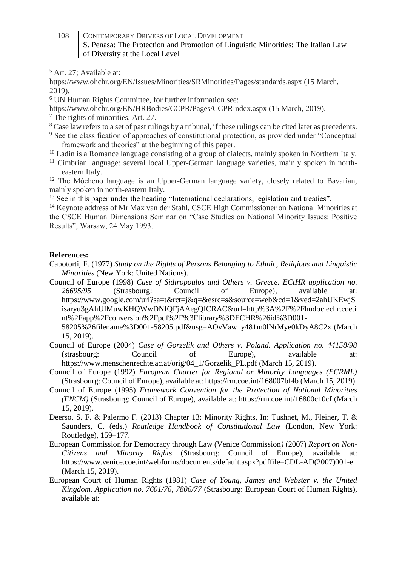<sup>5</sup> Art. 27; Available at:

https://www.ohchr.org/EN/Issues/Minorities/SRMinorities/Pages/standards.aspx (15 March, 2019).

<sup>6</sup> UN Human Rights Committee, for further information see:

https://www.ohchr.org/EN/HRBodies/CCPR/Pages/CCPRIndex.aspx (15 March, 2019).

<sup>7</sup> The rights of minorities, Art. 27.

- <sup>8</sup> Case law refers to a set of past rulings by a tribunal, if these rulings can be cited later as precedents.
- <sup>9</sup> See the classification of approaches of constitutional protection, as provided under "Conceptual framework and theories" at the beginning of this paper.

<sup>10</sup> Ladin is a Romance language consisting of a group of dialects, mainly spoken in Northern Italy.

<sup>11</sup> Cimbrian language: several local Upper-German language varieties, mainly spoken in northeastern Italy.

 $12$  The Mòcheno language is an Upper-German language variety, closely related to Bavarian, mainly spoken in north-eastern Italy.

<sup>13</sup> See in this paper under the heading "International declarations, legislation and treaties".

<sup>14</sup> Keynote address of Mr Max van der Stahl, CSCE High Commissioner on National Minorities at the CSCE Human Dimensions Seminar on "Case Studies on National Minority Issues: Positive Results", Warsaw, 24 May 1993.

### **References:**

- Capotorti, F. (1977) *Study on the Rights of Persons Belonging to Ethnic, Religious and Linguistic Minorities* (New York: United Nations).
- Council of Europe (1998) *Case of Sidiropoulos and Others v. Greece. ECtHR application no. 26695/95* (Strasbourg: Council of Europe)*,* available at: https://www.google.com/url?sa=t&rct=j&q=&esrc=s&source=web&cd=1&ved=2ahUKEwjS isaryu3gAhUIMuwKHQWwDNIQFjAAegQICRAC&url=http%3A%2F%2Fhudoc.echr.coe.i nt%2Fapp%2Fconversion%2Fpdf%2F%3Flibrary%3DECHR%26id%3D001- 58205%26filename%3D001-58205.pdf&usg=AOvVaw1y481m0lNrMye0kDyA8C2x (March

15, 2019).

- Council of Europe (2004) *Case of Gorzelik and Others v. Poland. Application no. 44158/98* (strasbourg: Council of Europe), available at: https://www.menschenrechte.ac.at/orig/04\_1/Gorzelik\_PL.pdf (March 15, 2019).
- Council of Europe (1992) *European Charter for Regional or Minority Languages (ECRML)* (Strasbourg: Council of Europe), available at: https://rm.coe.int/168007bf4b (March 15, 2019).
- Council of Europe (1995) *Framework Convention for the Protection of National Minorities (FNCM)* (Strasbourg: Council of Europe), available at: https://rm.coe.int/16800c10cf (March 15, 2019).
- Deerso, S. F. & Palermo F. (2013) Chapter 13: Minority Rights, In: Tushnet, M., Fleiner, T. & Saunders, C. (eds.) *Routledge Handbook of Constitutional Law* (London, New York: Routledge), 159–177.
- European Commission for Democracy through Law (Venice Commission*)* (2007) *Report on Non-Citizens and Minority Rights* (Strasbourg: Council of Europe), available at: https://www.venice.coe.int/webforms/documents/default.aspx?pdffile=CDL-AD(2007)001-e (March 15, 2019).
- European Court of Human Rights (1981) *Case of Young, James and Webster v. the United Kingdom. Application no. 7601/76, 7806/77* (Strasbourg: European Court of Human Rights), available at: